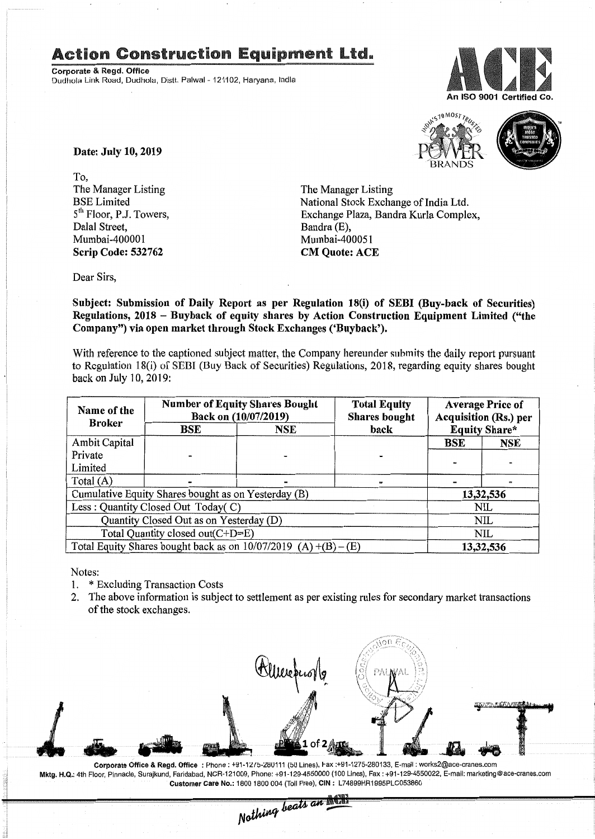## Action Construction Equipment Ltd.

Corporate & Regd. Office Dudhola Link Road, Dudhola, Distt. Palwal - 121102. Harvana, India





Date: July 10, 2019

*To,* The Manager Listing BSE Limited 5<sup>th</sup> Floor, P.J. Towers. Dalal Street, Mumbai-400001 Scrip Code: 532762

The Manager Listing National Stock Exchange of India Ltd. Exchange Plaza, Bandra Kurla Complex, Bandra (E). Mumbai-400051 CM Quote: ACE

Dear Sirs,

Subject: Submission of Daily Report as per Regulation 18(i) of SEBI (Buy-back of Securities) Regulations, 2018 - Buyback of equity shares by Action Construction Equipment Limited ("the Company") via open market through Stock Exchanges ('Buyback').

With reference to the captioned subject matter, the Company hereunder submits the daily report pursuant to Regulation 18(i) of SEBI (Buy Back of Securities) Regulations, 2018, regarding equity shares bought back on July 10, 2019:

| Name of the<br><b>Broker</b>                                      | <b>Number of Equity Shares Bought</b><br>Back on (10/07/2019) |     | <b>Total Equity</b><br><b>Shares bought</b> | <b>Average Price of</b><br><b>Acquisition (Rs.) per</b> |     |
|-------------------------------------------------------------------|---------------------------------------------------------------|-----|---------------------------------------------|---------------------------------------------------------|-----|
|                                                                   | BSE                                                           | NSE | back                                        | <b>Equity Share*</b>                                    |     |
| <b>Ambit Capital</b>                                              |                                                               |     |                                             | BSE                                                     | NSE |
| Private                                                           |                                                               |     |                                             |                                                         |     |
| Limited                                                           |                                                               |     |                                             |                                                         |     |
| Total $(A)$                                                       |                                                               |     |                                             |                                                         |     |
| Cumulative Equity Shares bought as on Yesterday (B)               |                                                               |     |                                             | 13,32,536                                               |     |
| Less: Quantity Closed Out Today(C)                                |                                                               |     |                                             | NIL                                                     |     |
| Quantity Closed Out as on Yesterday (D)                           |                                                               |     |                                             | NIL                                                     |     |
| Total Quantity closed out(C+D=E)                                  |                                                               |     |                                             | <b>NIL</b>                                              |     |
| Total Equity Shares bought back as on $10/07/2019$ (A) +(B) – (E) |                                                               |     |                                             | 13,32,536                                               |     |

Notes:

Int

- 1. \* Excluding Transaction Costs
- 2. The above information is subject to settlement as per existing rules for secondary market transactions of the stock exchanges.



Corporate Office & Regd. Office: Phone: +91-12/5-280111 (50 Lines), Fax: +91-1275-280133, E-mail: works2@ace-cranes.com Mktg.H.Q\_:4th Floor, Pinnacle, Surajkund, Faridabad, NCR-121009, Phone: +91-129-4550000 (100 Lines), Fax: +91-129-4550022, E-mail: marketing@ace-cranes.com Customer Care No.: 1800 1800 004 (Toll Free), CIN: L74899HR1995PLC053860<br>
Mothima beats an **Altin**